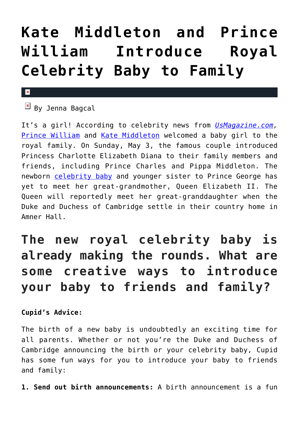## **[Kate Middleton and Prince](https://cupidspulse.com/92525/kate-middleton-prince-william-royal-celebrity-baby/) [William Introduce Royal](https://cupidspulse.com/92525/kate-middleton-prince-william-royal-celebrity-baby/) [Celebrity Baby to Family](https://cupidspulse.com/92525/kate-middleton-prince-william-royal-celebrity-baby/)**

## $\mathbf x$

**EX** By Jenna Bagcal

It's a girl! According to celebrity news from *[UsMagazine.com,](http://www.usmagazine.com/celebrity-news/news/prince-charles-middleton-family-visit-the-royal-princess-details-201535)* [Prince William](http://cupidspulse.com/89063/prince-william/) and [Kate Middleton](http://cupidspulse.com/89071/kate-middleton/) welcomed a baby girl to the royal family. On Sunday, May 3, the famous couple introduced Princess Charlotte Elizabeth Diana to their family members and friends, including Prince Charles and Pippa Middleton. The newborn [celebrity baby](http://cupidspulse.com/celebrity-relationships/celebrity-babies/) and younger sister to Prince George has yet to meet her great-grandmother, Queen Elizabeth II. The Queen will reportedly meet her great-granddaughter when the Duke and Duchess of Cambridge settle in their country home in Amner Hall.

## **The new royal celebrity baby is already making the rounds. What are some creative ways to introduce your baby to friends and family?**

**Cupid's Advice:** 

The birth of a new baby is undoubtedly an exciting time for all parents. Whether or not you're the Duke and Duchess of Cambridge announcing the birth or your celebrity baby, Cupid has some fun ways for you to introduce your baby to friends and family:

**1. Send out birth announcements:** A birth announcement is a fun